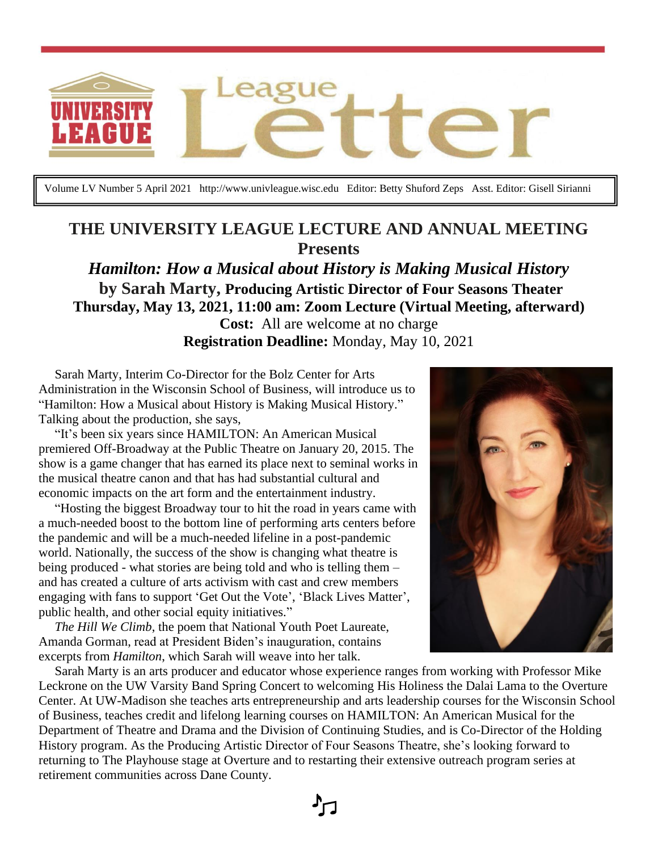

Volume LV Number 5 April 2021 http://www.univleague.wisc.edu Editor: Betty Shuford Zeps Asst. Editor: Gisell Sirianni

# **THE UNIVERSITY LEAGUE LECTURE AND ANNUAL MEETING Presents**

*Hamilton: How a Musical about History is Making Musical History* **by Sarah Marty, Producing Artistic Director of Four Seasons Theater Thursday, May 13, 2021, 11:00 am: Zoom Lecture (Virtual Meeting, afterward) Cost:** All are welcome at no charge **Registration Deadline:** Monday, May 10, 2021

 Sarah Marty, Interim Co-Director for the Bolz Center for Arts Administration in the Wisconsin School of Business, will introduce us to "Hamilton: How a Musical about History is Making Musical History." Talking about the production, she says,

 "It's been six years since HAMILTON: An American Musical premiered Off-Broadway at the Public Theatre on January 20, 2015. The show is a game changer that has earned its place next to seminal works in the musical theatre canon and that has had substantial cultural and economic impacts on the art form and the entertainment industry.

 "Hosting the biggest Broadway tour to hit the road in years came with a much-needed boost to the bottom line of performing arts centers before the pandemic and will be a much-needed lifeline in a post-pandemic world. Nationally, the success of the show is changing what theatre is being produced - what stories are being told and who is telling them – and has created a culture of arts activism with cast and crew members engaging with fans to support 'Get Out the Vote', 'Black Lives Matter', public health, and other social equity initiatives."

 *The Hill We Climb*, the poem that National Youth Poet Laureate, Amanda Gorman, read at President Biden's inauguration, contains excerpts from *Hamilton*, which Sarah will weave into her talk.



 Sarah Marty is an arts producer and educator whose experience ranges from working with Professor Mike Leckrone on the UW Varsity Band Spring Concert to welcoming His Holiness the Dalai Lama to the Overture Center. At UW-Madison she teaches arts entrepreneurship and arts leadership courses for the Wisconsin School of Business, teaches credit and lifelong learning courses on HAMILTON: An American Musical for the Department of Theatre and Drama and the Division of Continuing Studies, and is Co-Director of the Holding History program. As the Producing Artistic Director of Four Seasons Theatre, she's looking forward to returning to The Playhouse stage at Overture and to restarting their extensive outreach program series at retirement communities across Dane County.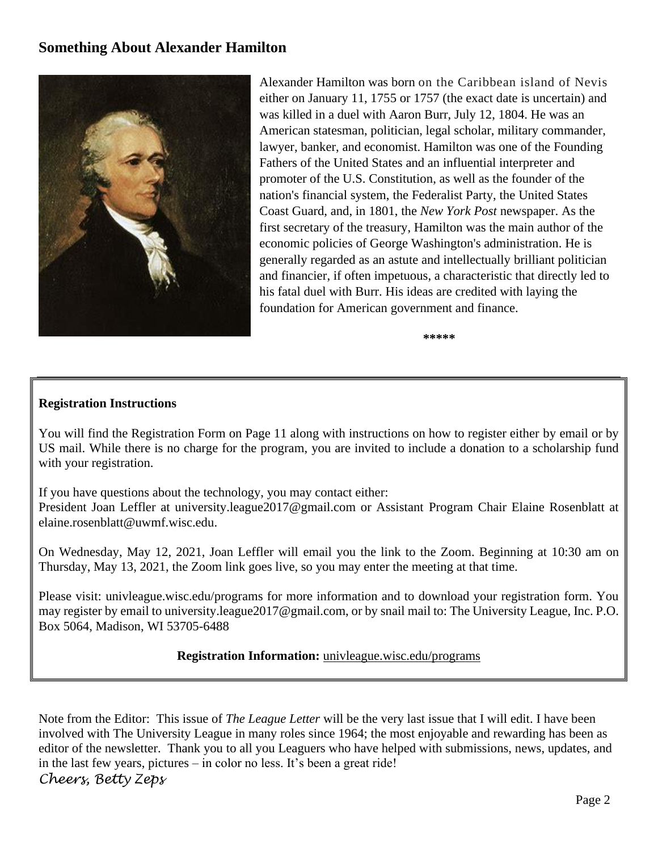#### **Something About Alexander Hamilton**



Alexander Hamilton was born on the Caribbean island of Nevis either on January 11, 1755 or 1757 (the exact date is uncertain) and was killed in a duel with Aaron Burr, July 12, 1804. He was an American statesman, politician, legal scholar, military commander, lawyer, banker, and economist. Hamilton was one of the [Founding](https://en.wikipedia.org/wiki/Founding_Fathers_of_the_United_States)  [Fathers of the United States](https://en.wikipedia.org/wiki/Founding_Fathers_of_the_United_States) and an influential interpreter and promoter of the [U.S. Constitution,](https://en.wikipedia.org/wiki/U.S._Constitution) as well as the founder of the nation's financial system, the [Federalist Party,](https://en.wikipedia.org/wiki/Federalist_Party) the [United States](https://en.wikipedia.org/wiki/United_States_Coast_Guard)  [Coast Guard,](https://en.wikipedia.org/wiki/United_States_Coast_Guard) and, in 1801, the *[New York Post](https://en.wikipedia.org/wiki/New_York_Post)* newspaper. As the first [secretary of the treasury,](https://en.wikipedia.org/wiki/United_States_Secretary_of_the_Treasury) Hamilton was the main author of the economic policies of [George Washington's](https://en.wikipedia.org/wiki/George_Washington) administration. He is generally regarded as an astute and intellectually brilliant politician and financier, if often impetuous, a characteristic that directly led to his fatal duel with Burr. His ideas are credited with laying the foundation for American government and finance.

**\*\*\*\*\***

#### **Registration Instructions**

You will find the Registration Form on Page 11 along with instructions on how to register either by email or by US mail. While there is no charge for the program, you are invited to include a donation to a scholarship fund with your registration.

If you have questions about the technology, you may contact either:

President Joan Leffler at university.league2017@gmail.com or Assistant Program Chair Elaine Rosenblatt at [elaine.rosenblatt@uwmf.wisc.edu.](mailto:elaine.rosenblatt@uwmf.wisc.edu)

On Wednesday, May 12, 2021, Joan Leffler will email you the link to the Zoom. Beginning at 10:30 am on Thursday, May 13, 2021, the Zoom link goes live, so you may enter the meeting at that time.

Please visit: univleague.wisc.edu/programs for more information and to download your registration form. You may register by email to university.league2017@gmail.com, or by snail mail to: The University League, Inc. P.O. Box 5064, Madison, WI 53705-6488

#### **Registration Information:** [univleague.wisc.edu/programs](http://univleague.wisc.edu/programs)

Note from the Editor: This issue of *The League Letter* will be the very last issue that I will edit. I have been involved with The University League in many roles since 1964; the most enjoyable and rewarding has been as editor of the newsletter. Thank you to all you Leaguers who have helped with submissions, news, updates, and in the last few years, pictures – in color no less. It's been a great ride! *Cheers, Betty Zeps*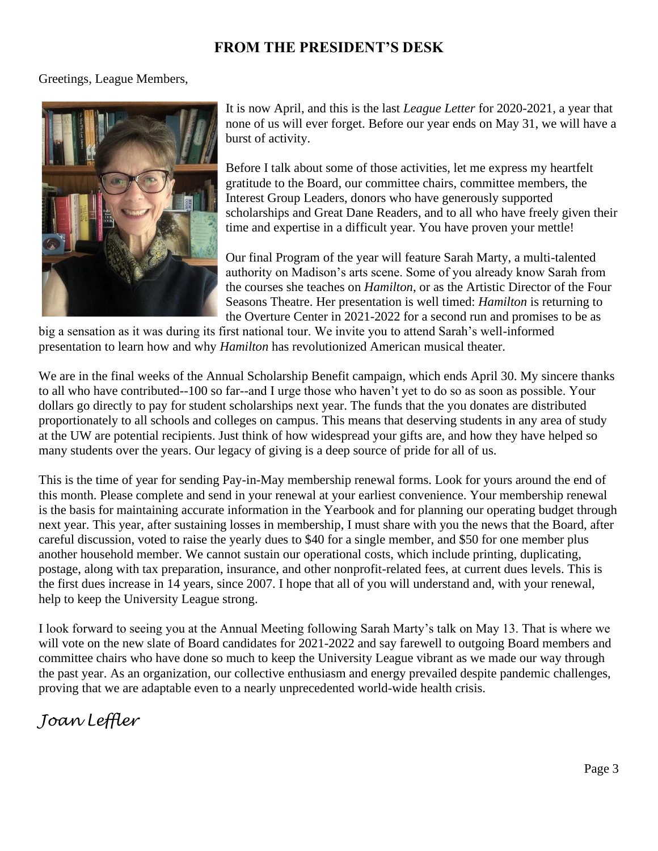## **FROM THE PRESIDENT'S DESK**

#### Greetings, League Members,



It is now April, and this is the last *League Letter* for 2020-2021, a year that none of us will ever forget. Before our year ends on May 31, we will have a burst of activity.

Before I talk about some of those activities, let me express my heartfelt gratitude to the Board, our committee chairs, committee members, the Interest Group Leaders, donors who have generously supported scholarships and Great Dane Readers, and to all who have freely given their time and expertise in a difficult year. You have proven your mettle!

Our final Program of the year will feature Sarah Marty, a multi-talented authority on Madison's arts scene. Some of you already know Sarah from the courses she teaches on *Hamilton*, or as the Artistic Director of the Four Seasons Theatre. Her presentation is well timed: *Hamilton* is returning to the Overture Center in 2021-2022 for a second run and promises to be as

big a sensation as it was during its first national tour. We invite you to attend Sarah's well-informed presentation to learn how and why *Hamilton* has revolutionized American musical theater.

We are in the final weeks of the Annual Scholarship Benefit campaign, which ends April 30. My sincere thanks to all who have contributed--100 so far--and I urge those who haven't yet to do so as soon as possible. Your dollars go directly to pay for student scholarships next year. The funds that the you donates are distributed proportionately to all schools and colleges on campus. This means that deserving students in any area of study at the UW are potential recipients. Just think of how widespread your gifts are, and how they have helped so many students over the years. Our legacy of giving is a deep source of pride for all of us.

This is the time of year for sending Pay-in-May membership renewal forms. Look for yours around the end of this month. Please complete and send in your renewal at your earliest convenience. Your membership renewal is the basis for maintaining accurate information in the Yearbook and for planning our operating budget through next year. This year, after sustaining losses in membership, I must share with you the news that the Board, after careful discussion, voted to raise the yearly dues to \$40 for a single member, and \$50 for one member plus another household member. We cannot sustain our operational costs, which include printing, duplicating, postage, along with tax preparation, insurance, and other nonprofit-related fees, at current dues levels. This is the first dues increase in 14 years, since 2007. I hope that all of you will understand and, with your renewal, help to keep the University League strong.

I look forward to seeing you at the Annual Meeting following Sarah Marty's talk on May 13. That is where we will vote on the new slate of Board candidates for 2021-2022 and say farewell to outgoing Board members and committee chairs who have done so much to keep the University League vibrant as we made our way through the past year. As an organization, our collective enthusiasm and energy prevailed despite pandemic challenges, proving that we are adaptable even to a nearly unprecedented world-wide health crisis.

# *Joan Leffler*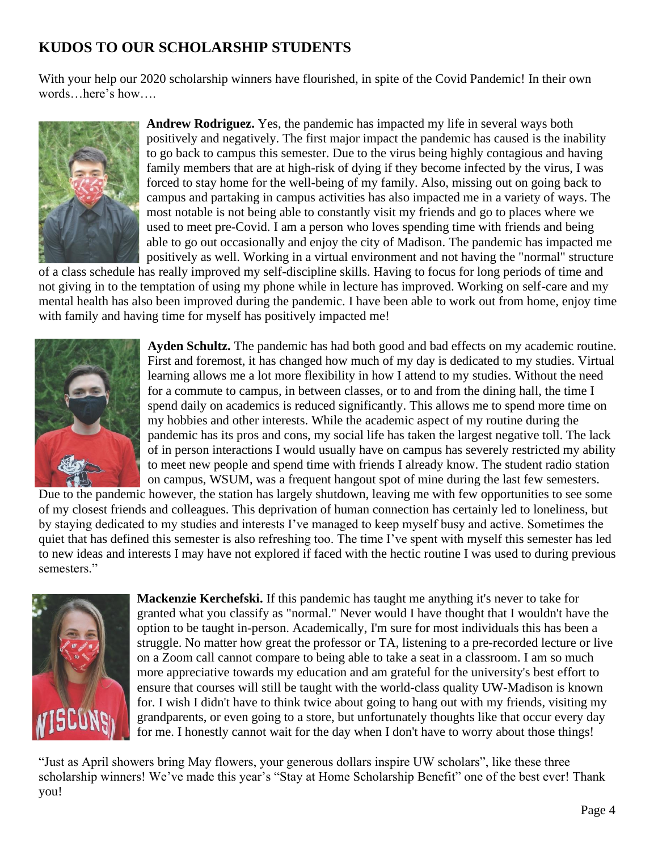# **KUDOS TO OUR SCHOLARSHIP STUDENTS**

With your help our 2020 scholarship winners have flourished, in spite of the Covid Pandemic! In their own words…here's how….



**Andrew Rodriguez.** Yes, the pandemic has impacted my life in several ways both positively and negatively. The first major impact the pandemic has caused is the inability to go back to campus this semester. Due to the virus being highly contagious and having family members that are at high-risk of dying if they become infected by the virus, I was forced to stay home for the well-being of my family. Also, missing out on going back to campus and partaking in campus activities has also impacted me in a variety of ways. The most notable is not being able to constantly visit my friends and go to places where we used to meet pre-Covid. I am a person who loves spending time with friends and being able to go out occasionally and enjoy the city of Madison. The pandemic has impacted me positively as well. Working in a virtual environment and not having the "normal" structure

of a class schedule has really improved my self-discipline skills. Having to focus for long periods of time and not giving in to the temptation of using my phone while in lecture has improved. Working on self-care and my mental health has also been improved during the pandemic. I have been able to work out from home, enjoy time with family and having time for myself has positively impacted me!



**Ayden Schultz.** The pandemic has had both good and bad effects on my academic routine. First and foremost, it has changed how much of my day is dedicated to my studies. Virtual learning allows me a lot more flexibility in how I attend to my studies. Without the need for a commute to campus, in between classes, or to and from the dining hall, the time I spend daily on academics is reduced significantly. This allows me to spend more time on my hobbies and other interests. While the academic aspect of my routine during the pandemic has its pros and cons, my social life has taken the largest negative toll. The lack of in person interactions I would usually have on campus has severely restricted my ability to meet new people and spend time with friends I already know. The student radio station on campus, WSUM, was a frequent hangout spot of mine during the last few semesters.

Due to the pandemic however, the station has largely shutdown, leaving me with few opportunities to see some of my closest friends and colleagues. This deprivation of human connection has certainly led to loneliness, but by staying dedicated to my studies and interests I've managed to keep myself busy and active. Sometimes the quiet that has defined this semester is also refreshing too. The time I've spent with myself this semester has led to new ideas and interests I may have not explored if faced with the hectic routine I was used to during previous semesters."



**Mackenzie Kerchefski.** If this pandemic has taught me anything it's never to take for granted what you classify as "normal." Never would I have thought that I wouldn't have the option to be taught in-person. Academically, I'm sure for most individuals this has been a struggle. No matter how great the professor or TA, listening to a pre-recorded lecture or live on a Zoom call cannot compare to being able to take a seat in a classroom. I am so much more appreciative towards my education and am grateful for the university's best effort to ensure that courses will still be taught with the world-class quality UW-Madison is known for. I wish I didn't have to think twice about going to hang out with my friends, visiting my grandparents, or even going to a store, but unfortunately thoughts like that occur every day for me. I honestly cannot wait for the day when I don't have to worry about those things!

"Just as April showers bring May flowers, your generous dollars inspire UW scholars", like these three scholarship winners! We've made this year's "Stay at Home Scholarship Benefit" one of the best ever! Thank you!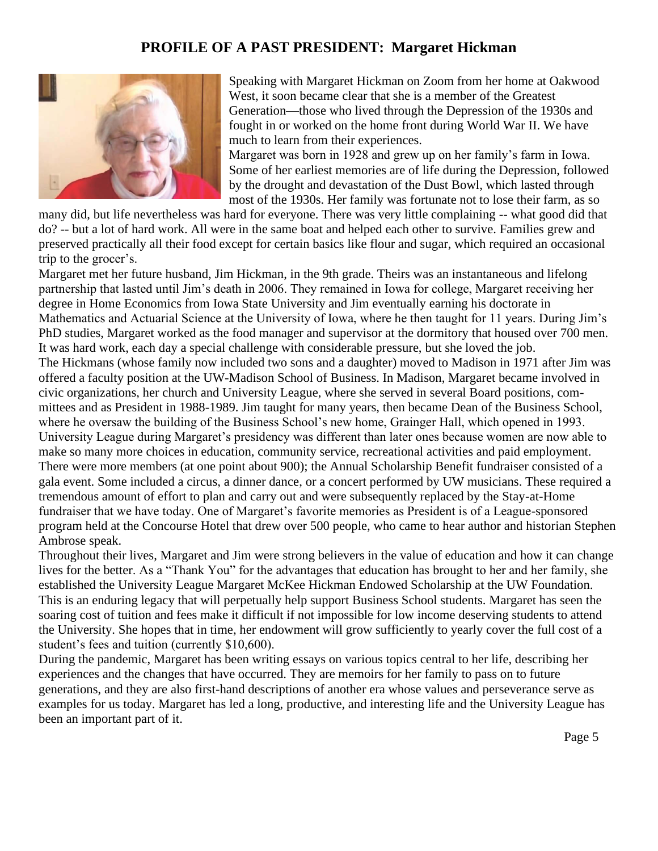## **PROFILE OF A PAST PRESIDENT: Margaret Hickman**



Speaking with Margaret Hickman on Zoom from her home at Oakwood West, it soon became clear that she is a member of the Greatest Generation—those who lived through the Depression of the 1930s and fought in or worked on the home front during World War II. We have much to learn from their experiences.

Margaret was born in 1928 and grew up on her family's farm in Iowa. Some of her earliest memories are of life during the Depression, followed by the drought and devastation of the Dust Bowl, which lasted through most of the 1930s. Her family was fortunate not to lose their farm, as so

many did, but life nevertheless was hard for everyone. There was very little complaining -- what good did that do? -- but a lot of hard work. All were in the same boat and helped each other to survive. Families grew and preserved practically all their food except for certain basics like flour and sugar, which required an occasional trip to the grocer's.

Margaret met her future husband, Jim Hickman, in the 9th grade. Theirs was an instantaneous and lifelong partnership that lasted until Jim's death in 2006. They remained in Iowa for college, Margaret receiving her degree in Home Economics from Iowa State University and Jim eventually earning his doctorate in Mathematics and Actuarial Science at the University of Iowa, where he then taught for 11 years. During Jim's PhD studies, Margaret worked as the food manager and supervisor at the dormitory that housed over 700 men. It was hard work, each day a special challenge with considerable pressure, but she loved the job. The Hickmans (whose family now included two sons and a daughter) moved to Madison in 1971 after Jim was offered a faculty position at the UW-Madison School of Business. In Madison, Margaret became involved in civic organizations, her church and University League, where she served in several Board positions, committees and as President in 1988-1989. Jim taught for many years, then became Dean of the Business School, where he oversaw the building of the Business School's new home, Grainger Hall, which opened in 1993. University League during Margaret's presidency was different than later ones because women are now able to make so many more choices in education, community service, recreational activities and paid employment. There were more members (at one point about 900); the Annual Scholarship Benefit fundraiser consisted of a gala event. Some included a circus, a dinner dance, or a concert performed by UW musicians. These required a tremendous amount of effort to plan and carry out and were subsequently replaced by the Stay-at-Home fundraiser that we have today. One of Margaret's favorite memories as President is of a League-sponsored program held at the Concourse Hotel that drew over 500 people, who came to hear author and historian Stephen Ambrose speak.

Throughout their lives, Margaret and Jim were strong believers in the value of education and how it can change lives for the better. As a "Thank You" for the advantages that education has brought to her and her family, she established the University League Margaret McKee Hickman Endowed Scholarship at the UW Foundation. This is an enduring legacy that will perpetually help support Business School students. Margaret has seen the soaring cost of tuition and fees make it difficult if not impossible for low income deserving students to attend the University. She hopes that in time, her endowment will grow sufficiently to yearly cover the full cost of a student's fees and tuition (currently \$10,600).

During the pandemic, Margaret has been writing essays on various topics central to her life, describing her experiences and the changes that have occurred. They are memoirs for her family to pass on to future generations, and they are also first-hand descriptions of another era whose values and perseverance serve as examples for us today. Margaret has led a long, productive, and interesting life and the University League has been an important part of it.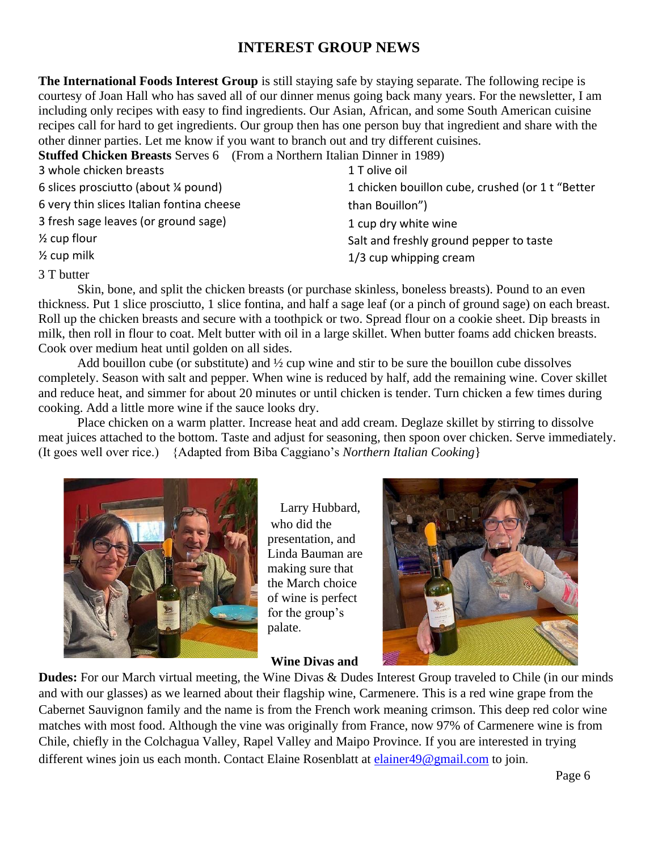# **INTEREST GROUP NEWS**

**The International Foods Interest Group** is still staying safe by staying separate. The following recipe is courtesy of Joan Hall who has saved all of our dinner menus going back many years. For the newsletter, I am including only recipes with easy to find ingredients. Our Asian, African, and some South American cuisine recipes call for hard to get ingredients. Our group then has one person buy that ingredient and share with the other dinner parties. Let me know if you want to branch out and try different cuisines.

**Stuffed Chicken Breasts** Serves 6 (From a Northern Italian Dinner in 1989)

| 3 whole chicken breasts                   | 1 T olive oil                                    |
|-------------------------------------------|--------------------------------------------------|
| 6 slices prosciutto (about ¼ pound)       | 1 chicken bouillon cube, crushed (or 1 t "Better |
| 6 very thin slices Italian fontina cheese | than Bouillon")                                  |
| 3 fresh sage leaves (or ground sage)      | 1 cup dry white wine                             |
| $\frac{1}{2}$ cup flour                   | Salt and freshly ground pepper to taste          |
| $\frac{1}{2}$ cup milk                    | 1/3 cup whipping cream                           |
|                                           |                                                  |

3 T butter

 Skin, bone, and split the chicken breasts (or purchase skinless, boneless breasts). Pound to an even thickness. Put 1 slice prosciutto, 1 slice fontina, and half a sage leaf (or a pinch of ground sage) on each breast. Roll up the chicken breasts and secure with a toothpick or two. Spread flour on a cookie sheet. Dip breasts in milk, then roll in flour to coat. Melt butter with oil in a large skillet. When butter foams add chicken breasts. Cook over medium heat until golden on all sides.

Add bouillon cube (or substitute) and  $\frac{1}{2}$  cup wine and stir to be sure the bouillon cube dissolves completely. Season with salt and pepper. When wine is reduced by half, add the remaining wine. Cover skillet and reduce heat, and simmer for about 20 minutes or until chicken is tender. Turn chicken a few times during cooking. Add a little more wine if the sauce looks dry.

 Place chicken on a warm platter. Increase heat and add cream. Deglaze skillet by stirring to dissolve meat juices attached to the bottom. Taste and adjust for seasoning, then spoon over chicken. Serve immediately. (It goes well over rice.) {Adapted from Biba Caggiano's *Northern Italian Cooking*}



Larry Hubbard, who did the presentation, and Linda Bauman are making sure that the March choice of wine is perfect for the group's palate.

#### **Wine Divas and**



**Dudes:** For our March virtual meeting, the Wine Divas & Dudes Interest Group traveled to Chile (in our minds and with our glasses) as we learned about their flagship wine, Carmenere. This is a red wine grape from the Cabernet Sauvignon family and the name is from the French work meaning crimson. This deep red color wine matches with most food. Although the vine was originally from France, now 97% of Carmenere wine is from Chile, chiefly in the Colchagua Valley, Rapel Valley and Maipo Province. If you are interested in trying different wines join us each month. Contact Elaine Rosenblatt at elainer49@gmail.com to join.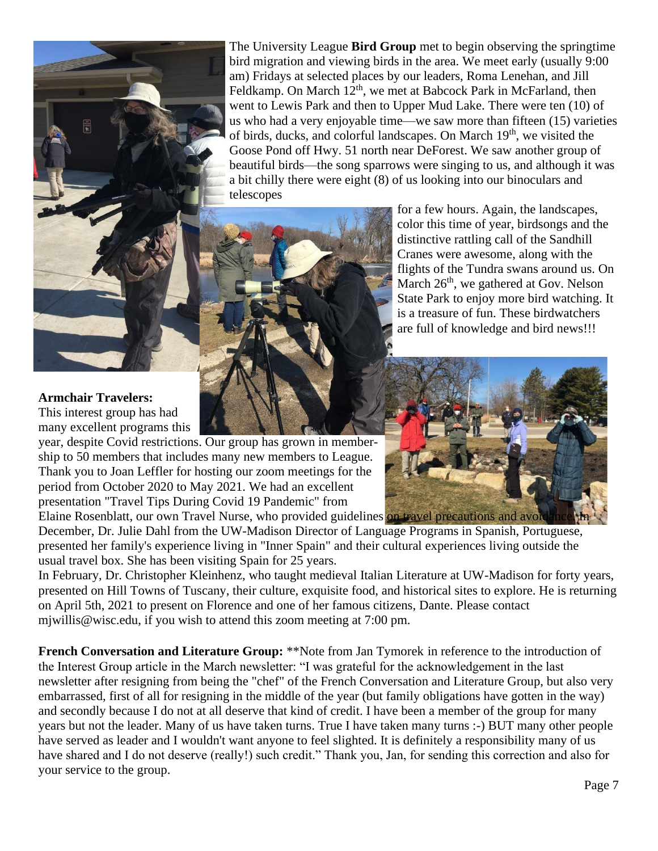

The University League **Bird Group** met to begin observing the springtime bird migration and viewing birds in the area. We meet early (usually 9:00 am) Fridays at selected places by our leaders, Roma Lenehan, and Jill Feldkamp. On March  $12<sup>th</sup>$ , we met at Babcock Park in McFarland, then went to Lewis Park and then to Upper Mud Lake. There were ten (10) of us who had a very enjoyable time—we saw more than fifteen (15) varieties of birds, ducks, and colorful landscapes. On March 19<sup>th</sup>, we visited the Goose Pond off Hwy. 51 north near DeForest. We saw another group of beautiful birds—the song sparrows were singing to us, and although it was a bit chilly there were eight (8) of us looking into our binoculars and telescopes



for a few hours. Again, the landscapes, color this time of year, birdsongs and the distinctive rattling call of the Sandhill Cranes were awesome, along with the flights of the Tundra swans around us. On March  $26<sup>th</sup>$ , we gathered at Gov. Nelson State Park to enjoy more bird watching. It is a treasure of fun. These birdwatchers are full of knowledge and bird news!!!

#### **Armchair Travelers:**

This interest group has had many excellent programs this

year, despite Covid restrictions. Our group has grown in membership to 50 members that includes many new members to League. Thank you to Joan Leffler for hosting our zoom meetings for the period from October 2020 to May 2021. We had an excellent presentation "Travel Tips During Covid 19 Pandemic" from Elaine Rosenblatt, our own Travel Nurse, who provided guidelines on travel precautions and avoid

December, Dr. Julie Dahl from the UW-Madison Director of Language Programs in Spanish, Portuguese, presented her family's experience living in "Inner Spain" and their cultural experiences living outside the usual travel box. She has been visiting Spain for 25 years.

In February, Dr. Christopher Kleinhenz, who taught medieval Italian Literature at UW-Madison for forty years, presented on Hill Towns of Tuscany, their culture, exquisite food, and historical sites to explore. He is returning on April 5th, 2021 to present on Florence and one of her famous citizens, Dante. Please contact mjwillis@wisc.edu, if you wish to attend this zoom meeting at 7:00 pm.

**French Conversation and Literature Group: \*\*Note from Jan Tymorek in reference to the introduction of** the Interest Group article in the March newsletter: "I was grateful for the acknowledgement in the last newsletter after resigning from being the "chef" of the French Conversation and Literature Group, but also very embarrassed, first of all for resigning in the middle of the year (but family obligations have gotten in the way) and secondly because I do not at all deserve that kind of credit. I have been a member of the group for many years but not the leader. Many of us have taken turns. True I have taken many turns :-) BUT many other people have served as leader and I wouldn't want anyone to feel slighted. It is definitely a responsibility many of us have shared and I do not deserve (really!) such credit." Thank you, Jan, for sending this correction and also for your service to the group.

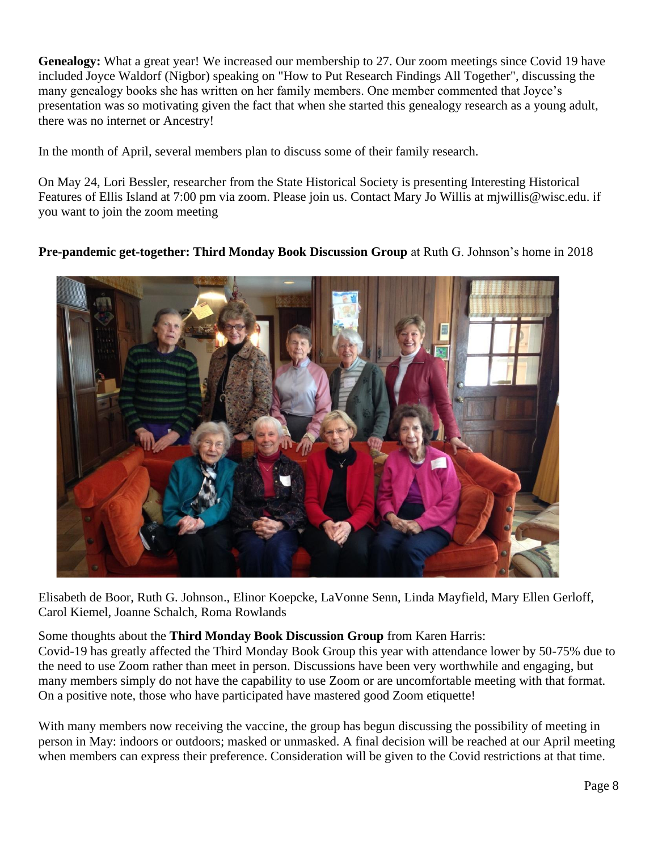**Genealogy:** What a great year! We increased our membership to 27. Our zoom meetings since Covid 19 have included Joyce Waldorf (Nigbor) speaking on "How to Put Research Findings All Together", discussing the many genealogy books she has written on her family members. One member commented that Joyce's presentation was so motivating given the fact that when she started this genealogy research as a young adult, there was no internet or Ancestry!

In the month of April, several members plan to discuss some of their family research.

On May 24, Lori Bessler, researcher from the State Historical Society is presenting Interesting Historical Features of Ellis Island at 7:00 pm via zoom. Please join us. Contact Mary Jo Willis at mjwillis@wisc.edu. if you want to join the zoom meeting

#### **Pre-pandemic get-together: Third Monday Book Discussion Group** at Ruth G. Johnson's home in 2018



Elisabeth de Boor, Ruth G. Johnson., Elinor Koepcke, LaVonne Senn, Linda Mayfield, Mary Ellen Gerloff, Carol Kiemel, Joanne Schalch, Roma Rowlands

Some thoughts about the **Third Monday Book Discussion Group** from Karen Harris:

Covid-19 has greatly affected the Third Monday Book Group this year with attendance lower by 50-75% due to the need to use Zoom rather than meet in person. Discussions have been very worthwhile and engaging, but many members simply do not have the capability to use Zoom or are uncomfortable meeting with that format. On a positive note, those who have participated have mastered good Zoom etiquette!

With many members now receiving the vaccine, the group has begun discussing the possibility of meeting in person in May: indoors or outdoors; masked or unmasked. A final decision will be reached at our April meeting when members can express their preference. Consideration will be given to the Covid restrictions at that time.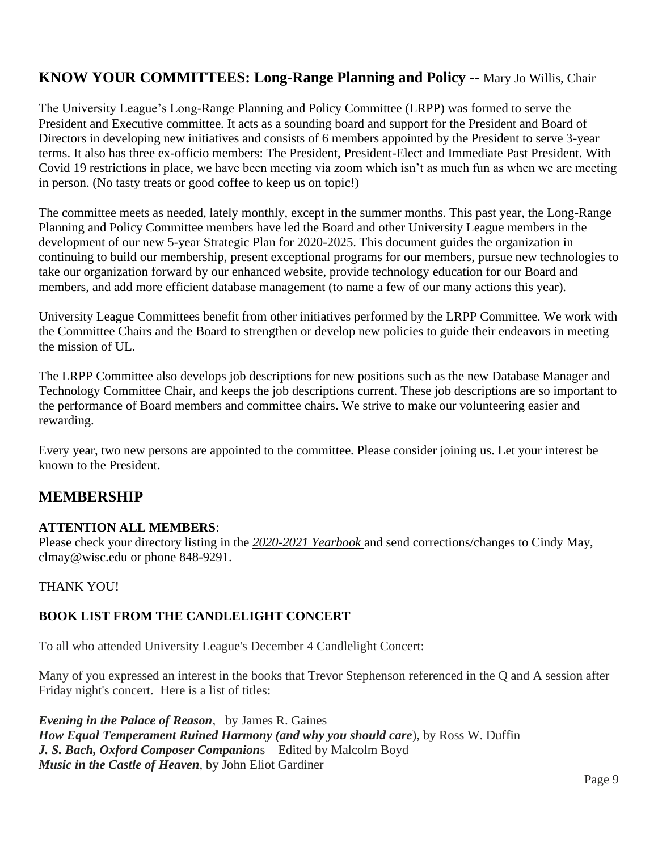# **KNOW YOUR COMMITTEES: Long-Range Planning and Policy --** Mary Jo Willis, Chair

The University League's Long-Range Planning and Policy Committee (LRPP) was formed to serve the President and Executive committee. It acts as a sounding board and support for the President and Board of Directors in developing new initiatives and consists of 6 members appointed by the President to serve 3-year terms. It also has three ex-officio members: The President, President-Elect and Immediate Past President. With Covid 19 restrictions in place, we have been meeting via zoom which isn't as much fun as when we are meeting in person. (No tasty treats or good coffee to keep us on topic!)

The committee meets as needed, lately monthly, except in the summer months. This past year, the Long-Range Planning and Policy Committee members have led the Board and other University League members in the development of our new 5-year Strategic Plan for 2020-2025. This document guides the organization in continuing to build our membership, present exceptional programs for our members, pursue new technologies to take our organization forward by our enhanced website, provide technology education for our Board and members, and add more efficient database management (to name a few of our many actions this year).

University League Committees benefit from other initiatives performed by the LRPP Committee. We work with the Committee Chairs and the Board to strengthen or develop new policies to guide their endeavors in meeting the mission of UL.

The LRPP Committee also develops job descriptions for new positions such as the new Database Manager and Technology Committee Chair, and keeps the job descriptions current. These job descriptions are so important to the performance of Board members and committee chairs. We strive to make our volunteering easier and rewarding.

Every year, two new persons are appointed to the committee. Please consider joining us. Let your interest be known to the President.

## **MEMBERSHIP**

#### **ATTENTION ALL MEMBERS**:

Please check your directory listing in the *2020-2021 Yearbook* and send corrections/changes to Cindy May, clmay@wisc.edu or phone 848-9291.

THANK YOU!

## **BOOK LIST FROM THE CANDLELIGHT CONCERT**

To all who attended University League's December 4 Candlelight Concert:

Many of you expressed an interest in the books that Trevor Stephenson referenced in the Q and A session after Friday night's concert. Here is a list of titles:

*Evening in the Palace of Reason*, by James R. Gaines *How Equal Temperament Ruined Harmony (and why you should care*), by Ross W. Duffin *J. S. Bach, Oxford Composer Companion*s—Edited by Malcolm Boyd *Music in the Castle of Heaven*, by John Eliot Gardiner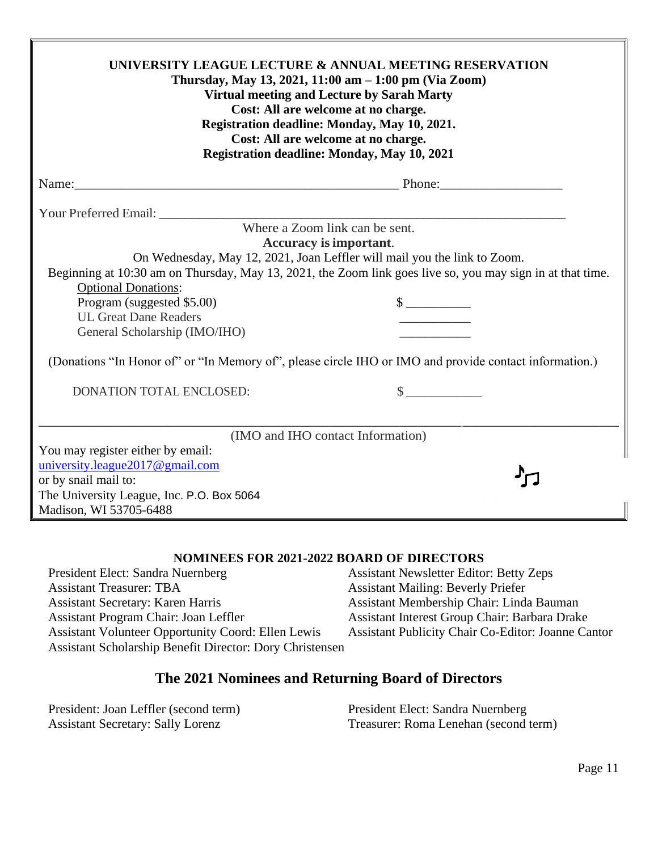| UNIVERSITY LEAGUE LECTURE & ANNUAL MEETING RESERVATION<br>Thursday, May 13, 2021, 11:00 am - 1:00 pm (Via Zoom)<br>Virtual meeting and Lecture by Sarah Marty<br>Cost: All are welcome at no charge.<br>Registration deadline: Monday, May 10, 2021.<br>Cost: All are welcome at no charge.<br>Registration deadline: Monday, May 10, 2021 |                                                                                                                                                                                                                                                                                   |  |
|--------------------------------------------------------------------------------------------------------------------------------------------------------------------------------------------------------------------------------------------------------------------------------------------------------------------------------------------|-----------------------------------------------------------------------------------------------------------------------------------------------------------------------------------------------------------------------------------------------------------------------------------|--|
|                                                                                                                                                                                                                                                                                                                                            |                                                                                                                                                                                                                                                                                   |  |
|                                                                                                                                                                                                                                                                                                                                            |                                                                                                                                                                                                                                                                                   |  |
| <b>Optional Donations:</b><br>Program (suggested \$5.00)<br><b>UL Great Dane Readers</b>                                                                                                                                                                                                                                                   | Where a Zoom link can be sent.<br>Accuracy is important.<br>On Wednesday, May 12, 2021, Joan Leffler will mail you the link to Zoom.<br>Beginning at 10:30 am on Thursday, May 13, 2021, the Zoom link goes live so, you may sign in at that time.<br>$\frac{\text{S}}{\text{S}}$ |  |
| General Scholarship (IMO/IHO)                                                                                                                                                                                                                                                                                                              |                                                                                                                                                                                                                                                                                   |  |
| (Donations "In Honor of" or "In Memory of", please circle IHO or IMO and provide contact information.)                                                                                                                                                                                                                                     |                                                                                                                                                                                                                                                                                   |  |
| DONATION TOTAL ENCLOSED:                                                                                                                                                                                                                                                                                                                   | $\frac{1}{2}$                                                                                                                                                                                                                                                                     |  |
|                                                                                                                                                                                                                                                                                                                                            |                                                                                                                                                                                                                                                                                   |  |
|                                                                                                                                                                                                                                                                                                                                            | (IMO and IHO contact Information)                                                                                                                                                                                                                                                 |  |
| You may register either by email:<br>university.league2017@gmail.com<br>or by snail mail to:<br>The University League, Inc. P.O. Box 5064<br>Madison, WI 53705-6488                                                                                                                                                                        |                                                                                                                                                                                                                                                                                   |  |

#### **NOMINEES FOR 2021-2022 BOARD OF DIRECTORS**

Assistant Treasurer: TBA Assistant Mailing: Beverly Priefer Assistant Secretary: Karen Harris Assistant Membership Chair: Linda Bauman<br>Assistant Program Chair: Joan Leffler Assistant Interest Group Chair: Barbara Drak Assistant Volunteer Opportunity Coord: Ellen Lewis Assistant Publicity Chair Co-Editor: Joanne Cantor Assistant Scholarship Benefit Director: Dory Christensen

# President Elect: Sandra Nuernberg Assistant Newsletter Editor: Betty Zeps Assistant Interest Group Chair: Barbara Drake

#### **The 2021 Nominees and Returning Board of Directors**

| President: Joan Leffler (second term)    | President Elect: Sandra Nuernberg     |
|------------------------------------------|---------------------------------------|
| <b>Assistant Secretary: Sally Lorenz</b> | Treasurer: Roma Lenehan (second term) |